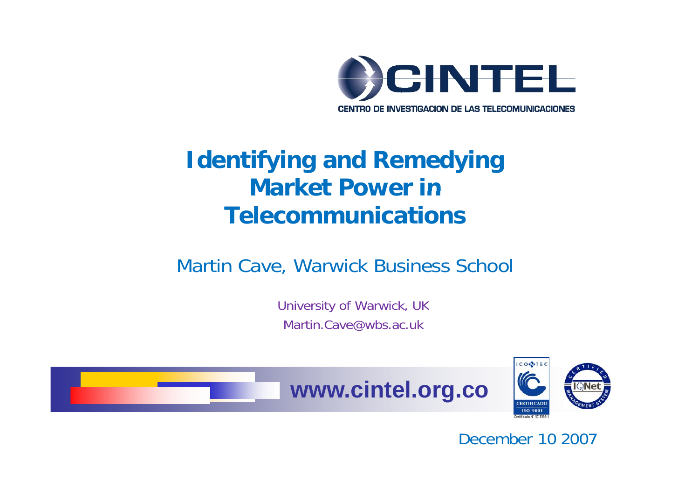

#### **Identifying and Remedying Market Power inTelecommunications**

#### Martin Cave, Warwick Business School

University of Warwick, UK Martin.Cave@wbs.ac.uk





December 10 2007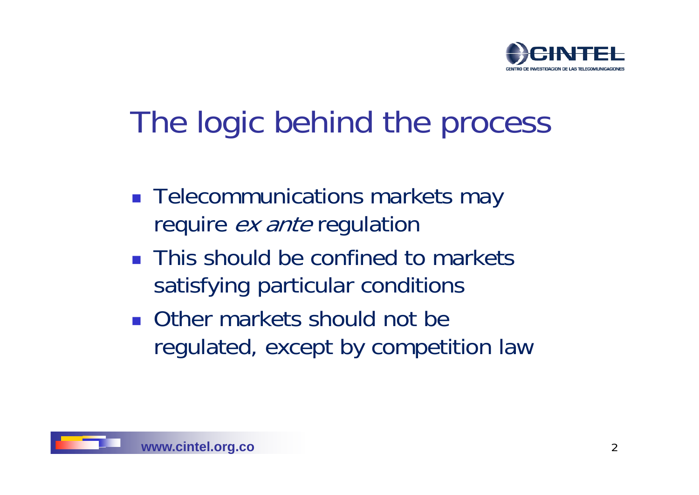

# The logic behind the process

- **Telecommunications markets may** require *ex ante* regulation
- **This should be confined to markets** satisfying particular conditions
- **Other markets should not be** regulated, except by competition law

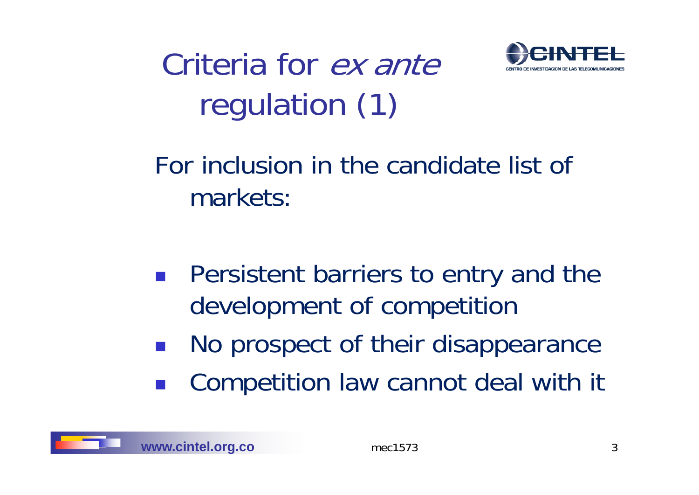Criteria for *ex ante* regulation (1)



For inclusion in the candidate list of markets:

- **Persistent barriers to entry and the** development of competition
- No prospect of their disappearance
- Competition law cannot deal with it

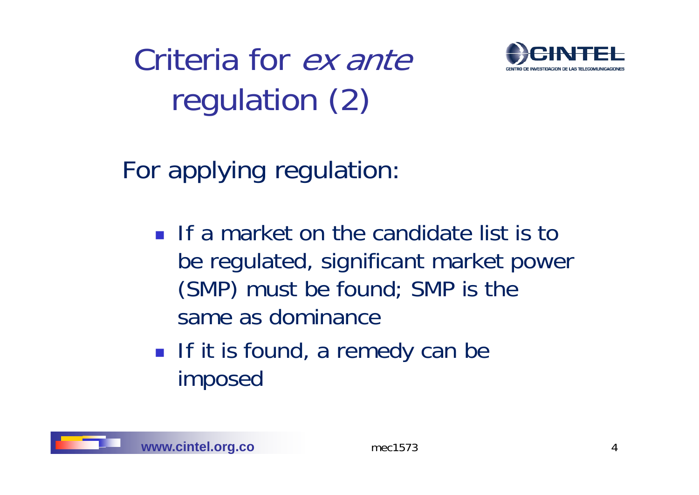Criteria for *ex ante* regulation (2)



For applying regulation:

- If a market on the candidate list is to be regulated, significant market power (SMP) must be found; SMP is the same as dominance
- If it is found, a remedy can be imposed

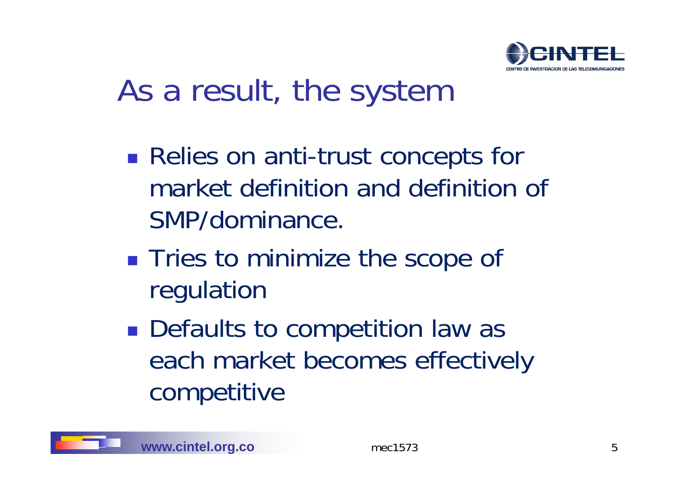

# As a result, the system

- Relies on anti-trust concepts for market definition and definition of SMP/dominance.
- **Tries to minimize the scope of** re gulation
- **Defaults to competition law as** each market becomes effectively competitive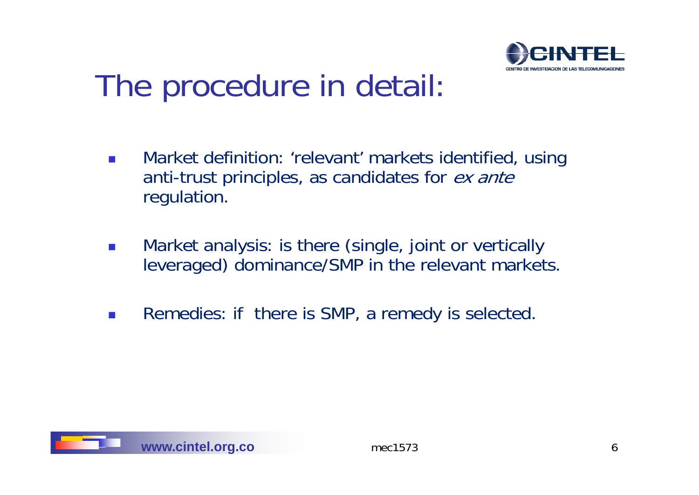

# The procedure in detail:

- $\overline{\mathcal{A}}$  Market definition: 'relevant' markets identified, using anti-trust principles, as candidates for ex ante regulation.
- $\mathcal{L}_{\mathcal{A}}$ Market analysis: is there (single, joint or vertically leveraged) dominance/SMP in the relevant markets.
- $\overline{\mathcal{A}}$ Remedies: if there is SMP, a remedy is selected.

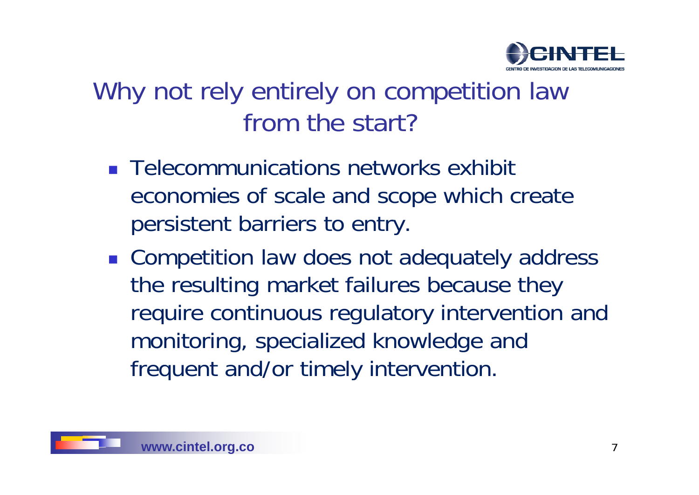

### Why not rely entirely on competition law from the start?

- **Telecommunications networks exhibit** economies of scale and scope which create persistent barriers to entry.
- **Example 20 Incorporat A law does not adequately address** the resulting market failures because they require continuous regulatory intervention and monitoring, specialized knowledge and frequent and/or timely intervention.

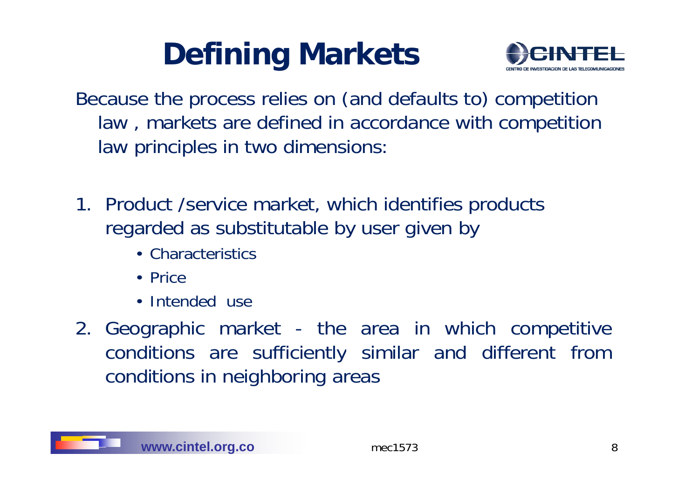# **Defining Markets**



- Because the process relies on (and defaults to) competition law , markets are defined in accordance with competition law principles in two dimensions:
- 1. Product /service market, which identifies products regarded as substitutable by user given by
	- Characteristics
	- Price
	- Intended use\_\_\_\_\_\_\_
- 2. Geographic market the area in which competitive conditions are sufficientl y similar and differen t from conditions in neighboring areas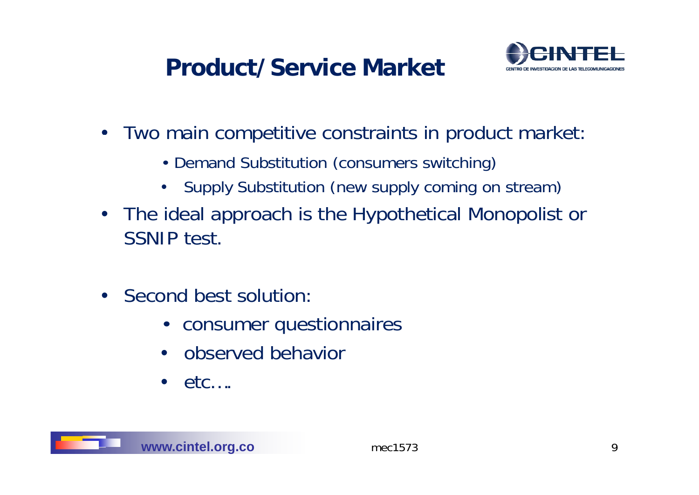#### **Product/Service Market**



- $\bullet$ Two main competitive constraints in product market:
	- Demand Substitution (consumers switching)
	- Supply Substitution (new supply coming on stream)
- The ideal approach is the Hypothetical Monopolist or SSNIP test.
- Second best solution:
	- consumer questionnaires
	- observed behavior
	- $\bullet$  etc....

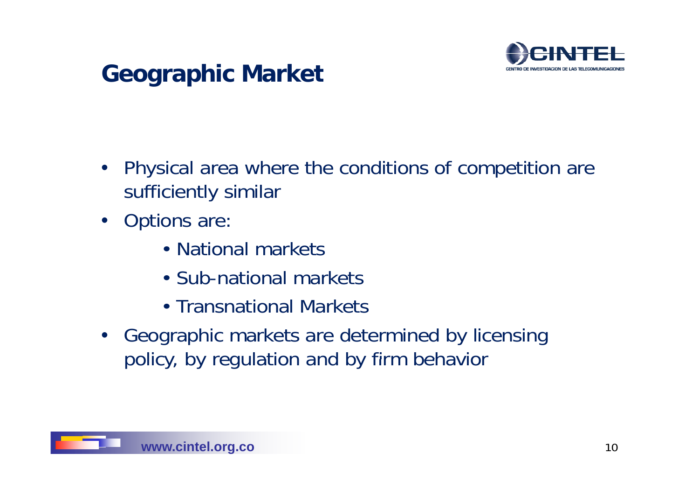

#### **Geographic Market**

- Physical area where the conditions of competition are sufficiently similar
- Options are:
	- National markets\_\_\_\_\_\_\_\_\_\_\_\_\_\_\_\_\_\_\_\_\_\_\_\_\_\_\_\_\_\_\_\_\_\_
	- Sub-national markets
	- Transnational Markets
- Geographic markets are determined by licensing policy, by regulation and by firm behavior

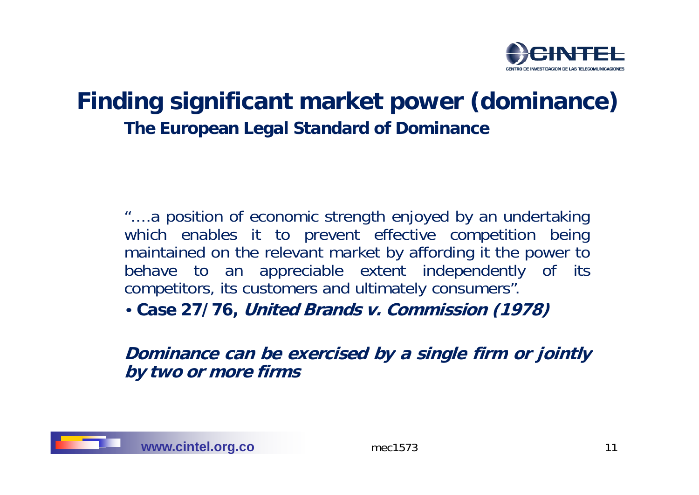

#### **Finding significant market power (dominance) The Euro pean Le gal Standard <sup>o</sup> f Dominance**

"....a position of economic strength enjoyed by an undertaking which enables it to prevent effective competition being maintained on the relevant market by affording it the power to behave to an appreciable extent independently of its competitors, its customers and ultimately consumers".

• **Case 27 /76, Uni d te Brands v. Commi i ss on (1978)**

**Dominance can be exercised by a single firm or jointly by two or more firms**

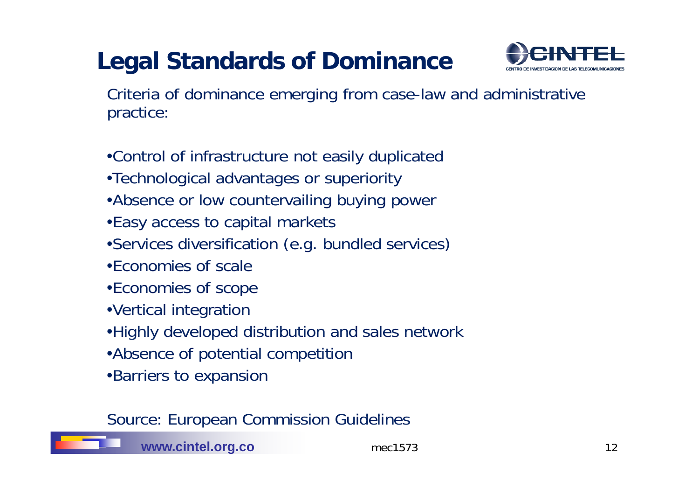### **Legal Standards of Dominance**



Criteria of dominance emerging from case-law and administrative practice:

•Control of infrastructure not easily duplicated •Technological advantages or superiority •Absence or low countervailing buying power •Easy access to capital markets •Services diversification (e.g. bundled services) •Economies of scale•Economies of scope •Vertical integration •Highly developed distribution and sales network •Absence o f potential com petition •Barriers to expansion

Source: European Commission Guidelines



**www.cintel.org.co** mec1573 12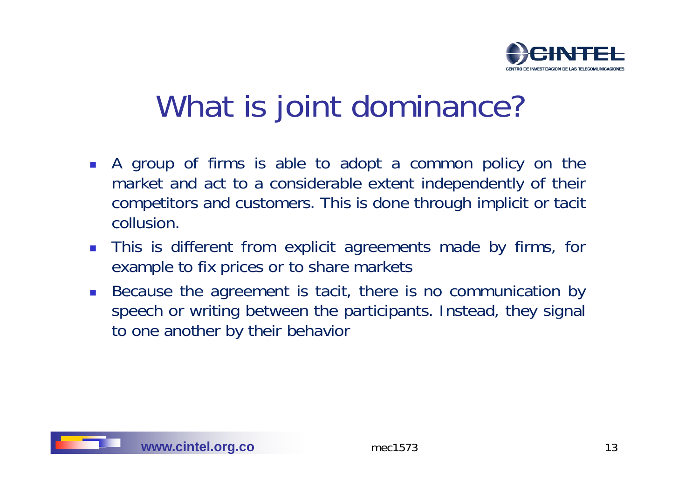

# What is joint dominance?

- A group of firms is able to adopt <sup>a</sup> common policy on the market and act to a considerable extent independently of their competitors and customers. This is done through implicit or tacit collusion.
- $\mathbb{R}^n$  . **This is different from explicit agreements made by firms, for** example to fix prices or to share markets
- $\mathcal{L}^{\mathcal{L}}$  Because the agreement is tacit, there is no communication by speech or writing between the participants. Instead, they signal to one another by their behavior

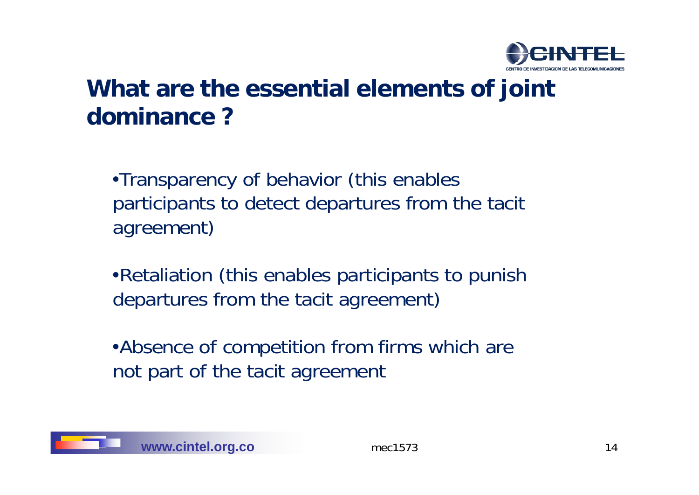

#### **What are the essential elements of joint dominance ?**

•Transparency of behavior (this enables participants to detect departures from the tacit agreement)

•Retaliation (this enables participants to punish departures from the tacit agreement)

•Absence of competition from firms which are not part of the tacit agreement

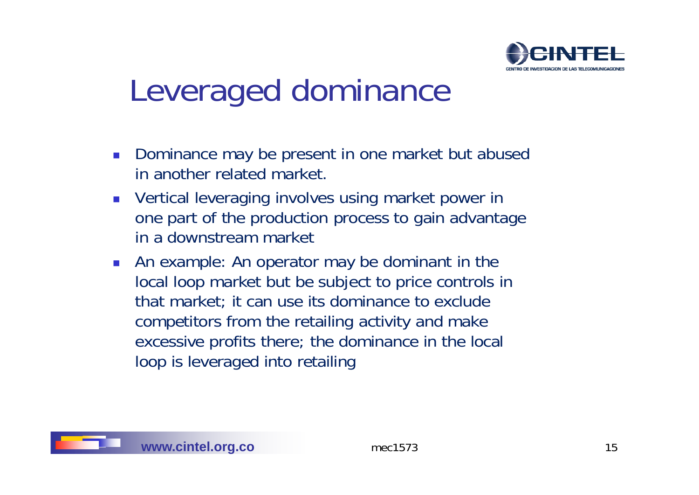

# Leveraged dominance

- $\mathcal{N}$  Dominance may be present in one market but abused in another related market.
- P. ■ Vertical leveraging involves using market power in one part of the production process to gain advantage in a downstream market
- $\mathcal{L}_{\mathcal{A}}$  An example: An operator may be dominant in the local loop market but be subject to price controls in that market; it can use its dominance to exclude competitors from the retailing activity and make excessive profits there; the dominance in the local loop is leveraged into retailing

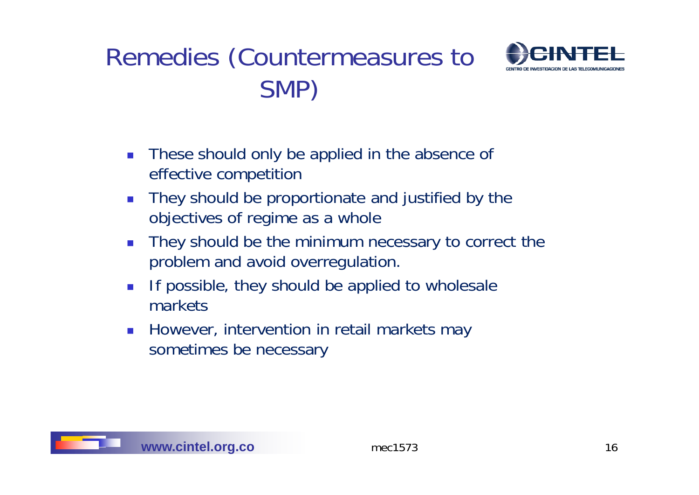### Remedies (Countermeasures to SMP)



- $\mathcal{L}_{\mathcal{A}}$  These should only be applied in the absence of effective competition
- $\mathbb{R}^3$ **They should be proportionate and justified by the** objectives of regime as a whole
- $\sim$ They should be the minimum necessary to correct the problem and avoid overregulation.
- $\mathbb{R}^n$  If possible, they should be applied to wholesale markets
- $\mathcal{L}_{\mathcal{A}}$  However, intervention in retail markets may sometimes be necessary

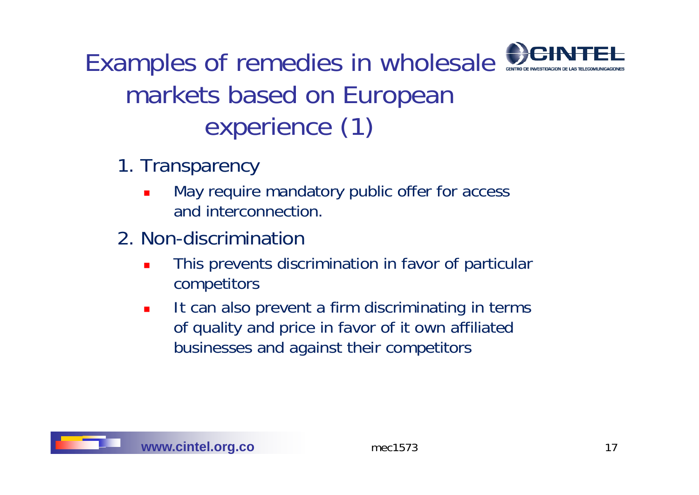Examples of remedies in wholesale markets based on European experience (1)

- 1. Transparency
	- П May require mandatory public offer for access and interconnection.
- 2. Non-discrimination
	- $\blacksquare$  This prevents discrimination in favor of particular competitors
	- $\blacksquare$ It can also prevent a firm discriminating in terms of quality and price in favor of it own affiliated businesses and against their competitors

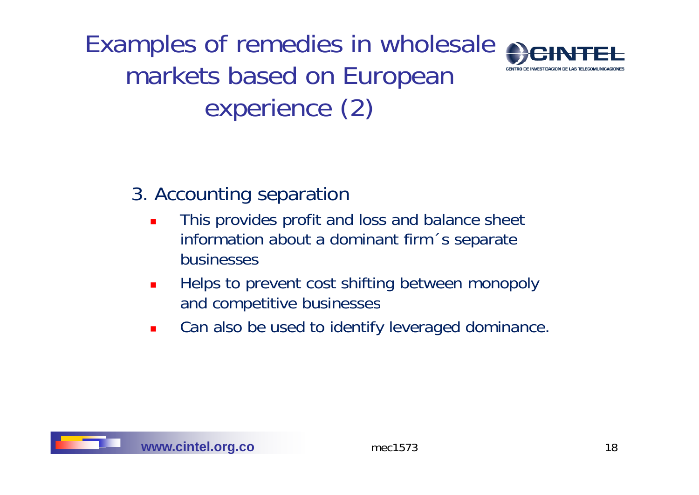Examples of remedies in wholesale markets based on European experience (2)



#### 3. Accounting separation

- $\blacksquare$  This provides profit and loss and balance sheet information about a dominant firm´s se parate businesses
- $\blacksquare$  Helps to prevent cost shifting between monopoly and competitive businesses
- $\blacksquare$ Can also be used to identify leveraged dominance.

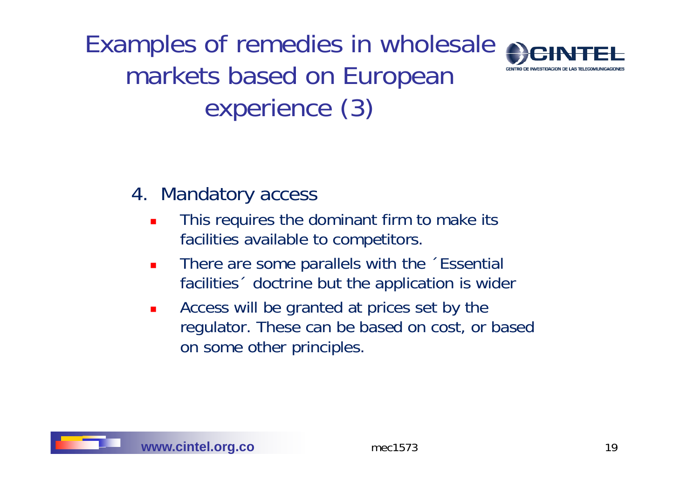Examples of remedies in wholesale markets based on European experience (3)



#### 4. Mandatory access

- $\blacksquare$  This requires the dominant firm to make its facilities available to com petitors.
- $\blacksquare$  There are some parallels with the ´Essential facilities´ doctrine but the application is wider
- $\blacksquare$ **EXE** Access will be granted at prices set by the regulator. These can be based on cost, or based on some other principles.

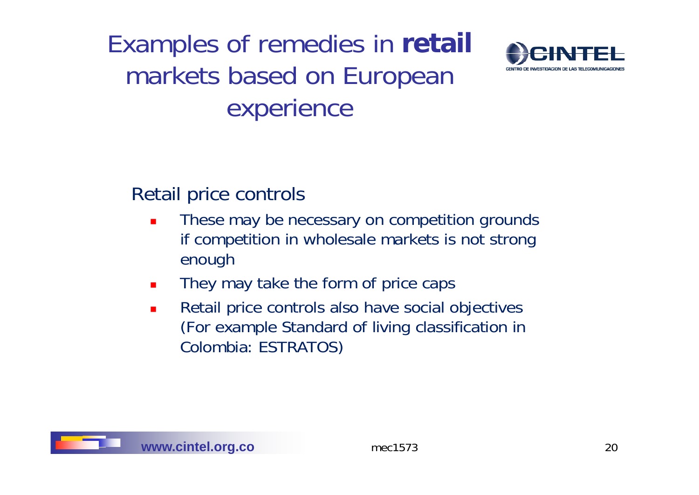### Examples of remedies in **retail** markets based on European experience



#### Retail price controls

- $\mathbf{r}$  These may be necessary on competition grounds if competition in wholesale markets is not strong enough
- $\blacksquare$ They may take the form of price caps
- $\blacksquare$ **Retail price controls also have social objectives** (For example Standard of living classification in Colombia: ESTRATOS)

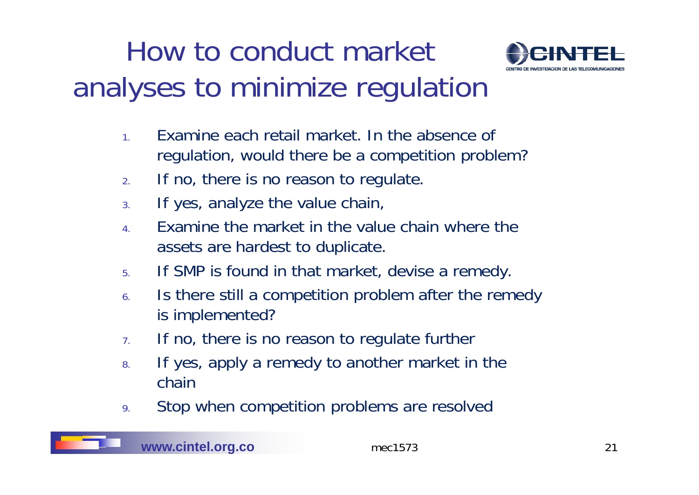# How to conduct market analyses to minimize regulation



- 1.Examine each retail market. In the absence of regulation, would there be a competition problem?
- 2.If no, there is no reason to regulate.
- 3.If yes, analyze the value chain,
- 4. Examine the market in the value chain where the assets are hardest to duplicate.
- 5.If SMP is found in that market, devise a remedy.
- 6.In the still a competition problem after the remedy is implemented?
- 7.If no, there is no reason to regulate further
- 8.If yes, apply a remedy to another market in the chain
- 9.Stop when competition problems are resolved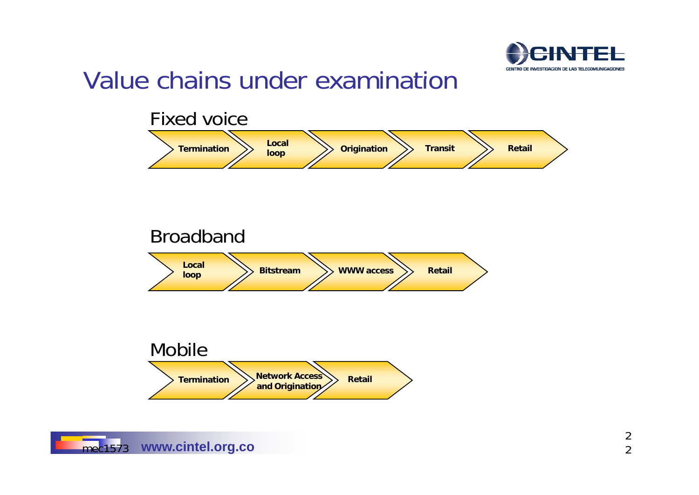

#### Value chains under examination

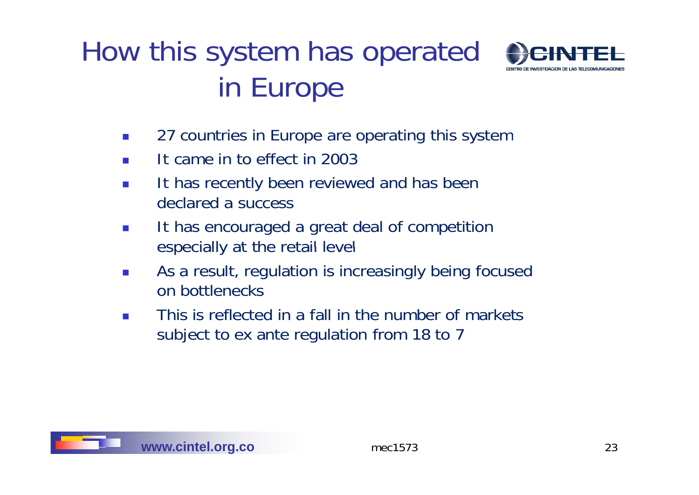## How this system has operated in Europe



- $\mathcal{L}^{\mathcal{A}}$ 27 countries in Europe are operating this system
- $\sim$ It came in to effect in 2003
- $\mathcal{L}_{\mathcal{A}}$ **It has recently been reviewed and has been** declared a success
- $\mathcal{C}^{\mathcal{A}}$  It has encouraged a great deal of competition especially at the retail level
- $\mathcal{C}^{\mathcal{A}}$  As a result, regulation is increasingly being focused on bottlenecks
- $\mathcal{L}(\mathcal{A})$  This is reflected in a fall in the number of markets subject to ex ante regulation from 18 to 7